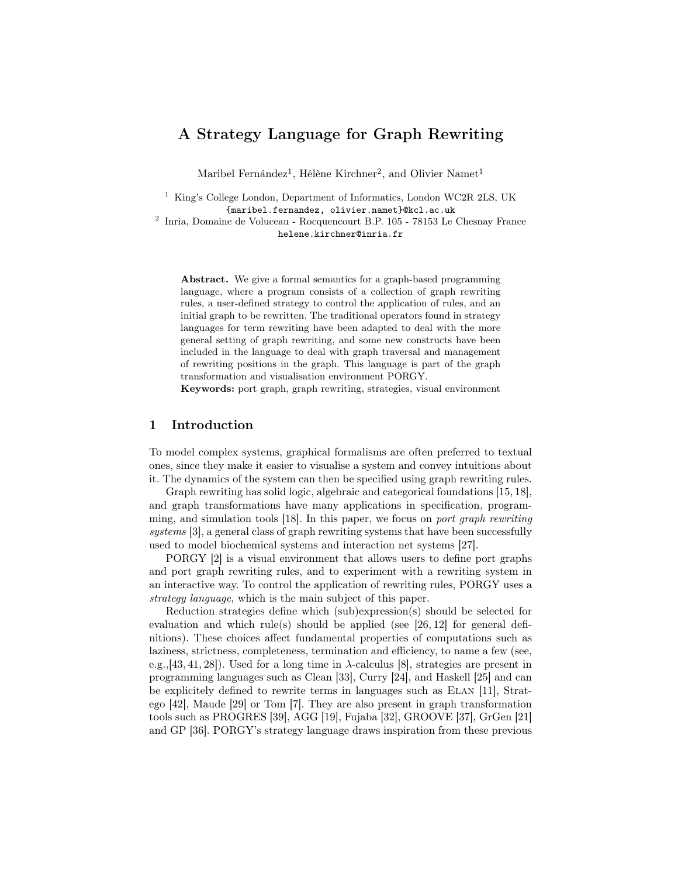# A Strategy Language for Graph Rewriting

Maribel Fernández<sup>1</sup>, Hélène Kirchner<sup>2</sup>, and Olivier Namet<sup>1</sup>

<sup>1</sup> King's College London, Department of Informatics, London WC2R 2LS, UK {maribel.fernandez, olivier.namet}@kcl.ac.uk

2 Inria, Domaine de Voluceau - Rocquencourt B.P. 105 - 78153 Le Chesnay France helene.kirchner@inria.fr

Abstract. We give a formal semantics for a graph-based programming language, where a program consists of a collection of graph rewriting rules, a user-defined strategy to control the application of rules, and an initial graph to be rewritten. The traditional operators found in strategy languages for term rewriting have been adapted to deal with the more general setting of graph rewriting, and some new constructs have been included in the language to deal with graph traversal and management of rewriting positions in the graph. This language is part of the graph transformation and visualisation environment PORGY.

Keywords: port graph, graph rewriting, strategies, visual environment

### 1 Introduction

To model complex systems, graphical formalisms are often preferred to textual ones, since they make it easier to visualise a system and convey intuitions about it. The dynamics of the system can then be specified using graph rewriting rules.

Graph rewriting has solid logic, algebraic and categorical foundations [15, 18], and graph transformations have many applications in specification, programming, and simulation tools [18]. In this paper, we focus on port graph rewriting systems [3], a general class of graph rewriting systems that have been successfully used to model biochemical systems and interaction net systems [27].

PORGY [2] is a visual environment that allows users to define port graphs and port graph rewriting rules, and to experiment with a rewriting system in an interactive way. To control the application of rewriting rules, PORGY uses a strategy language, which is the main subject of this paper.

Reduction strategies define which (sub)expression(s) should be selected for evaluation and which rule(s) should be applied (see [26, 12] for general definitions). These choices affect fundamental properties of computations such as laziness, strictness, completeness, termination and efficiency, to name a few (see, e.g., [43, 41, 28]). Used for a long time in  $\lambda$ -calculus [8], strategies are present in programming languages such as Clean [33], Curry [24], and Haskell [25] and can be explicitely defined to rewrite terms in languages such as Elan [11], Stratego [42], Maude [29] or Tom [7]. They are also present in graph transformation tools such as PROGRES [39], AGG [19], Fujaba [32], GROOVE [37], GrGen [21] and GP [36]. PORGY's strategy language draws inspiration from these previous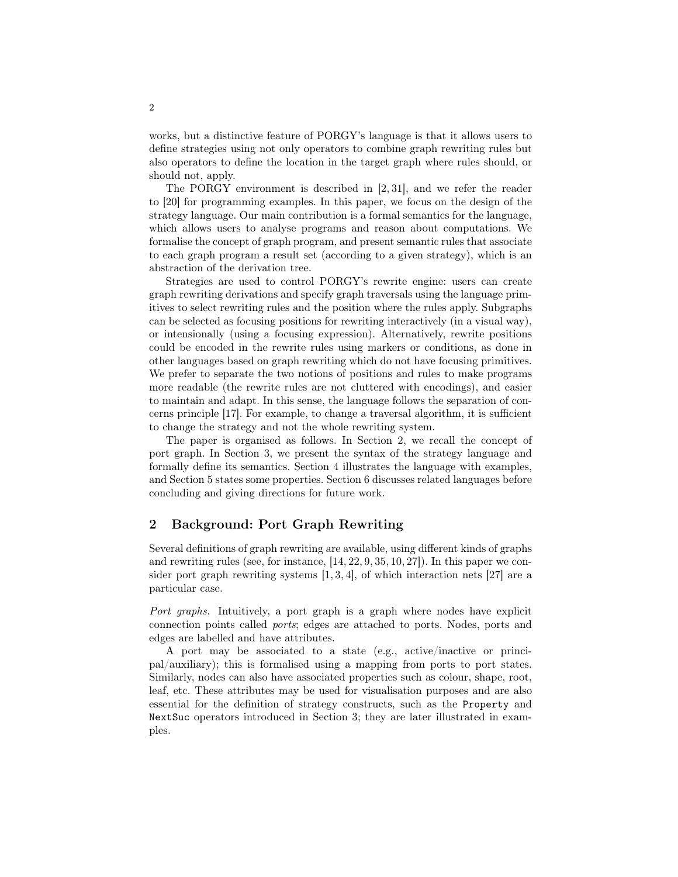works, but a distinctive feature of PORGY's language is that it allows users to define strategies using not only operators to combine graph rewriting rules but also operators to define the location in the target graph where rules should, or should not, apply.

The PORGY environment is described in [2, 31], and we refer the reader to [20] for programming examples. In this paper, we focus on the design of the strategy language. Our main contribution is a formal semantics for the language, which allows users to analyse programs and reason about computations. We formalise the concept of graph program, and present semantic rules that associate to each graph program a result set (according to a given strategy), which is an abstraction of the derivation tree.

Strategies are used to control PORGY's rewrite engine: users can create graph rewriting derivations and specify graph traversals using the language primitives to select rewriting rules and the position where the rules apply. Subgraphs can be selected as focusing positions for rewriting interactively (in a visual way), or intensionally (using a focusing expression). Alternatively, rewrite positions could be encoded in the rewrite rules using markers or conditions, as done in other languages based on graph rewriting which do not have focusing primitives. We prefer to separate the two notions of positions and rules to make programs more readable (the rewrite rules are not cluttered with encodings), and easier to maintain and adapt. In this sense, the language follows the separation of concerns principle [17]. For example, to change a traversal algorithm, it is sufficient to change the strategy and not the whole rewriting system.

The paper is organised as follows. In Section 2, we recall the concept of port graph. In Section 3, we present the syntax of the strategy language and formally define its semantics. Section 4 illustrates the language with examples, and Section 5 states some properties. Section 6 discusses related languages before concluding and giving directions for future work.

## 2 Background: Port Graph Rewriting

Several definitions of graph rewriting are available, using different kinds of graphs and rewriting rules (see, for instance,  $[14, 22, 9, 35, 10, 27]$ ). In this paper we consider port graph rewriting systems  $[1, 3, 4]$ , of which interaction nets  $[27]$  are a particular case.

Port graphs. Intuitively, a port graph is a graph where nodes have explicit connection points called ports; edges are attached to ports. Nodes, ports and edges are labelled and have attributes.

A port may be associated to a state (e.g., active/inactive or principal/auxiliary); this is formalised using a mapping from ports to port states. Similarly, nodes can also have associated properties such as colour, shape, root, leaf, etc. These attributes may be used for visualisation purposes and are also essential for the definition of strategy constructs, such as the Property and NextSuc operators introduced in Section 3; they are later illustrated in examples.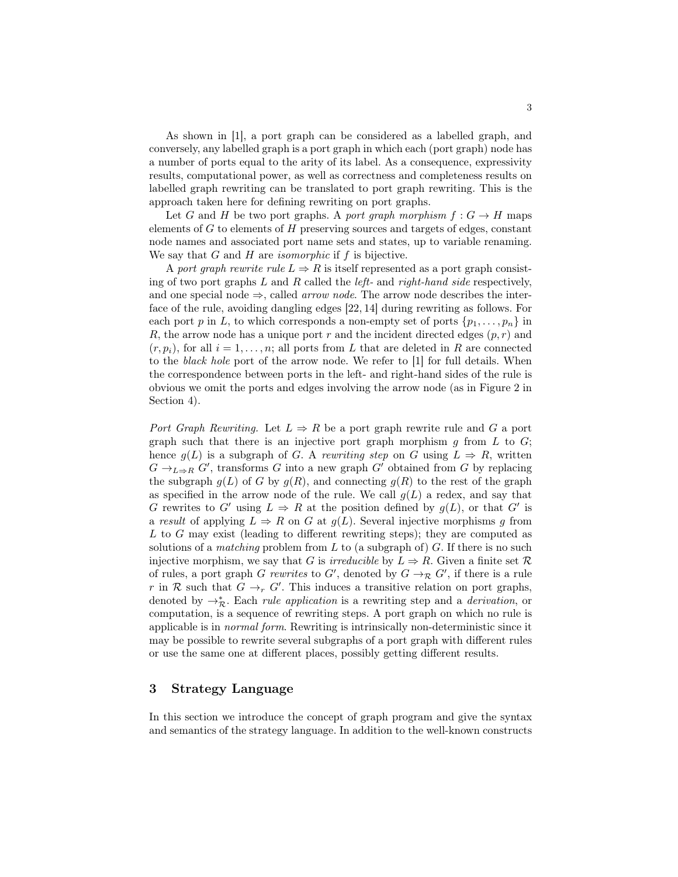As shown in [1], a port graph can be considered as a labelled graph, and conversely, any labelled graph is a port graph in which each (port graph) node has a number of ports equal to the arity of its label. As a consequence, expressivity results, computational power, as well as correctness and completeness results on labelled graph rewriting can be translated to port graph rewriting. This is the approach taken here for defining rewriting on port graphs.

Let G and H be two port graphs. A port graph morphism  $f: G \to H$  maps elements of  $G$  to elements of  $H$  preserving sources and targets of edges, constant node names and associated port name sets and states, up to variable renaming. We say that  $G$  and  $H$  are *isomorphic* if  $f$  is bijective.

A port graph rewrite rule  $L \Rightarrow R$  is itself represented as a port graph consisting of two port graphs  $L$  and  $R$  called the *left*- and *right-hand side* respectively, and one special node  $\Rightarrow$ , called *arrow node*. The arrow node describes the interface of the rule, avoiding dangling edges [22, 14] during rewriting as follows. For each port p in L, to which corresponds a non-empty set of ports  $\{p_1, \ldots, p_n\}$  in R, the arrow node has a unique port  $r$  and the incident directed edges  $(p, r)$  and  $(r, p_i)$ , for all  $i = 1, \ldots, n$ ; all ports from L that are deleted in R are connected to the black hole port of the arrow node. We refer to [1] for full details. When the correspondence between ports in the left- and right-hand sides of the rule is obvious we omit the ports and edges involving the arrow node (as in Figure 2 in Section 4).

Port Graph Rewriting. Let  $L \Rightarrow R$  be a port graph rewrite rule and G a port graph such that there is an injective port graph morphism  $g$  from  $L$  to  $G$ ; hence  $g(L)$  is a subgraph of G. A rewriting step on G using  $L \Rightarrow R$ , written  $G \rightarrow_{L \Rightarrow R} G'$ , transforms G into a new graph G' obtained from G by replacing the subgraph  $g(L)$  of G by  $g(R)$ , and connecting  $g(R)$  to the rest of the graph as specified in the arrow node of the rule. We call  $q(L)$  a redex, and say that G rewrites to G' using  $L \Rightarrow R$  at the position defined by  $g(L)$ , or that G' is a result of applying  $L \Rightarrow R$  on G at  $g(L)$ . Several injective morphisms g from L to G may exist (leading to different rewriting steps); they are computed as solutions of a *matching* problem from  $L$  to (a subgraph of)  $G$ . If there is no such injective morphism, we say that G is *irreducible* by  $L \Rightarrow R$ . Given a finite set R of rules, a port graph G rewrites to G', denoted by  $G \rightarrow_{\mathcal{R}} G'$ , if there is a rule r in R such that  $G \rightarrow_r G'$ . This induces a transitive relation on port graphs, denoted by  $\rightarrow_{\mathcal{R}}^*$ . Each *rule application* is a rewriting step and a *derivation*, or computation, is a sequence of rewriting steps. A port graph on which no rule is applicable is in normal form. Rewriting is intrinsically non-deterministic since it may be possible to rewrite several subgraphs of a port graph with different rules or use the same one at different places, possibly getting different results.

### 3 Strategy Language

In this section we introduce the concept of graph program and give the syntax and semantics of the strategy language. In addition to the well-known constructs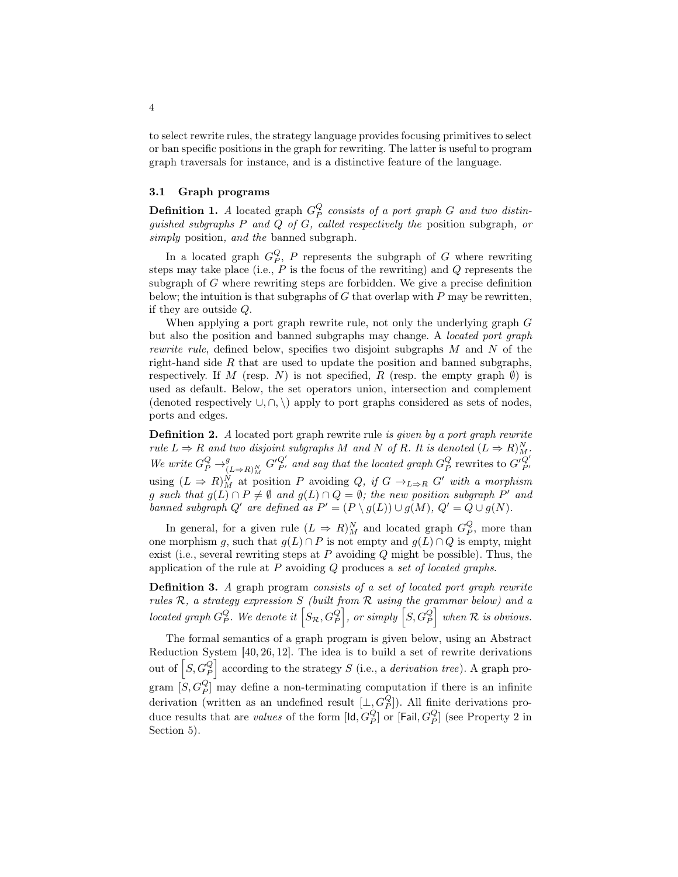to select rewrite rules, the strategy language provides focusing primitives to select or ban specific positions in the graph for rewriting. The latter is useful to program graph traversals for instance, and is a distinctive feature of the language.

#### 3.1 Graph programs

**Definition 1.** A located graph  $G_P^Q$  consists of a port graph G and two distinguished subgraphs  $P$  and  $Q$  of  $G$ , called respectively the position subgraph, or simply position, and the banned subgraph.

In a located graph  $G_P^Q$ , P represents the subgraph of G where rewriting steps may take place (i.e.,  $P$  is the focus of the rewriting) and  $Q$  represents the subgraph of G where rewriting steps are forbidden. We give a precise definition below; the intuition is that subgraphs of  $G$  that overlap with  $P$  may be rewritten, if they are outside Q.

When applying a port graph rewrite rule, not only the underlying graph G but also the position and banned subgraphs may change. A located port graph *rewrite rule*, defined below, specifies two disjoint subgraphs  $M$  and  $N$  of the right-hand side  $R$  that are used to update the position and banned subgraphs, respectively. If M (resp. N) is not specified, R (resp. the empty graph  $\emptyset$ ) is used as default. Below, the set operators union, intersection and complement (denoted respectively  $\cup$ ,  $\cap$ ,  $\setminus$ ) apply to port graphs considered as sets of nodes, ports and edges.

**Definition 2.** A located port graph rewrite rule is given by a port graph rewrite rule  $L \Rightarrow R$  and two disjoint subgraphs M and N of R. It is denoted  $(L \Rightarrow R)_{M}^{N}$ . We write  $G_P^Q \to_{(L \Rightarrow R)^N_M}^g G_{P'}^{Q'}$  and say that the located graph  $G_P^Q$  rewrites to  $G_{P'}^{Q'}$ using  $(L \Rightarrow R)_{M}^{N}$  at position P avoiding Q, if  $G \rightarrow_{L \Rightarrow R} G'$  with a morphism g such that  $g(L) \cap P \neq \emptyset$  and  $g(L) \cap Q = \emptyset$ ; the new position subgraph P' and banned subgraph Q' are defined as  $P' = (P \setminus g(L)) \cup g(M), Q' = Q \cup g(N)$ .

In general, for a given rule  $(L \Rightarrow R)^N_M$  and located graph  $G_P^Q$ , more than one morphism g, such that  $g(L) \cap P$  is not empty and  $g(L) \cap Q$  is empty, might exist (i.e., several rewriting steps at  $P$  avoiding  $Q$  might be possible). Thus, the application of the rule at  $P$  avoiding  $Q$  produces a set of located graphs.

Definition 3. A graph program consists of a set of located port graph rewrite rules  $R$ , a strategy expression  $S$  (built from  $R$  using the grammar below) and a located graph  $G_P^Q$ . We denote it  $\left[S_{\cal R},G_P^Q\right]$ , or simply  $\left[S,G_P^Q\right]$  when  ${\cal R}$  is obvious.

The formal semantics of a graph program is given below, using an Abstract Reduction System [40, 26, 12]. The idea is to build a set of rewrite derivations out of  $\left[ S, G_P^Q \right]$  according to the strategy S (i.e., a *derivation tree*). A graph program  $[S, G_P^Q]$  may define a non-terminating computation if there is an infinite derivation (written as an undefined result  $[\perp, G_P^Q]$ ). All finite derivations produce results that are *values* of the form  $[\mathsf{Id}, G_P^Q]$  or  $[\mathsf{Fail}, G_P^Q]$  (see Property 2 in Section 5).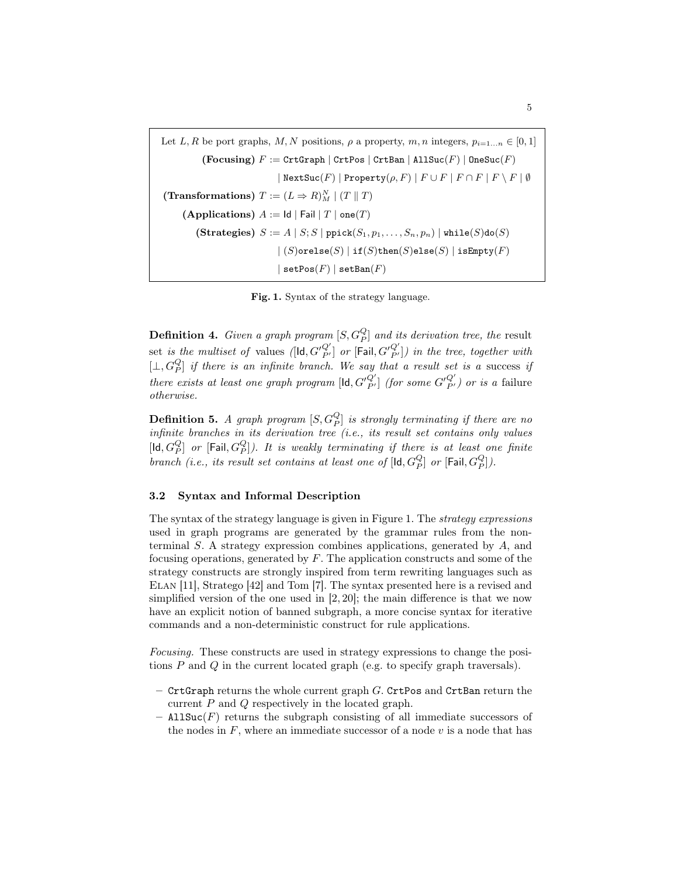Let L, R be port graphs, M, N positions,  $\rho$  a property, m, n integers,  $p_{i=1...n} \in [0,1]$ (Focusing)  $F := \text{CrtGraph} | \text{CrtPos} | \text{CrtBan} | \text{AllSuc}(F) | \text{OneSuc}(F)$ | NextSuc $(F)$  | Property $(\rho, F)$  |  $F \cup F$  |  $F \cap F$  |  $F \setminus F$  | Ø (Transformations)  $T := (L \Rightarrow R)^N_M \mid (T \parallel T)$ (Applications)  $A := \text{Id} | \text{fail} | T | \text{one}(T)$ (Strategies)  $S := A | S; S | \text{ppick}(S_1, p_1, \ldots, S_n, p_n) | \text{while}(S) \text{do}(S)$  $|(S)$ orelse $(S)$  | if(S)then(S)else(S) | isEmpty(F)  $|$  setPos $(F)$   $|$  setBan $(F)$ 

Fig. 1. Syntax of the strategy language.

**Definition 4.** Given a graph program  $[S, G_P^Q]$  and its derivation tree, the result set is the multiset of values ([ $\text{Id}, G'_{P'}^{Q'}$ ] or  $[\text{fail}, G''_{P'}^{Q'}]$ ) in the tree, together with  $[\perp, G_P^Q]$  if there is an infinite branch. We say that a result set is a success if there exists at least one graph program  $[\mathsf{Id}, G'^{Q'}_{P'}]$  (for some  $G'^{Q'}_{P'}$ ) or is a failure otherwise.

**Definition 5.** A graph program  $[S, G_P^Q]$  is strongly terminating if there are no infinite branches in its derivation tree  $(i.e.,$  its result set contains only values  $[\mathsf{Id}, G_P^Q]$  or  $[\mathsf{Fail}, G_P^Q]$ ). It is weakly terminating if there is at least one finite branch (i.e., its result set contains at least one of  $[\mathsf{Id}, G_P^Q]$  or  $[\mathsf{Fail}, G_P^Q]$ ).

#### 3.2 Syntax and Informal Description

The syntax of the strategy language is given in Figure 1. The *strategy expressions* used in graph programs are generated by the grammar rules from the nonterminal S. A strategy expression combines applications, generated by A, and focusing operations, generated by  $F$ . The application constructs and some of the strategy constructs are strongly inspired from term rewriting languages such as Elan [11], Stratego [42] and Tom [7]. The syntax presented here is a revised and simplified version of the one used in  $[2, 20]$ ; the main difference is that we now have an explicit notion of banned subgraph, a more concise syntax for iterative commands and a non-deterministic construct for rule applications.

Focusing. These constructs are used in strategy expressions to change the positions  $P$  and  $Q$  in the current located graph (e.g. to specify graph traversals).

- CrtGraph returns the whole current graph  $G$ . CrtPos and CrtBan return the current P and Q respectively in the located graph.
- $-$  AllSuc $(F)$  returns the subgraph consisting of all immediate successors of the nodes in  $F$ , where an immediate successor of a node  $v$  is a node that has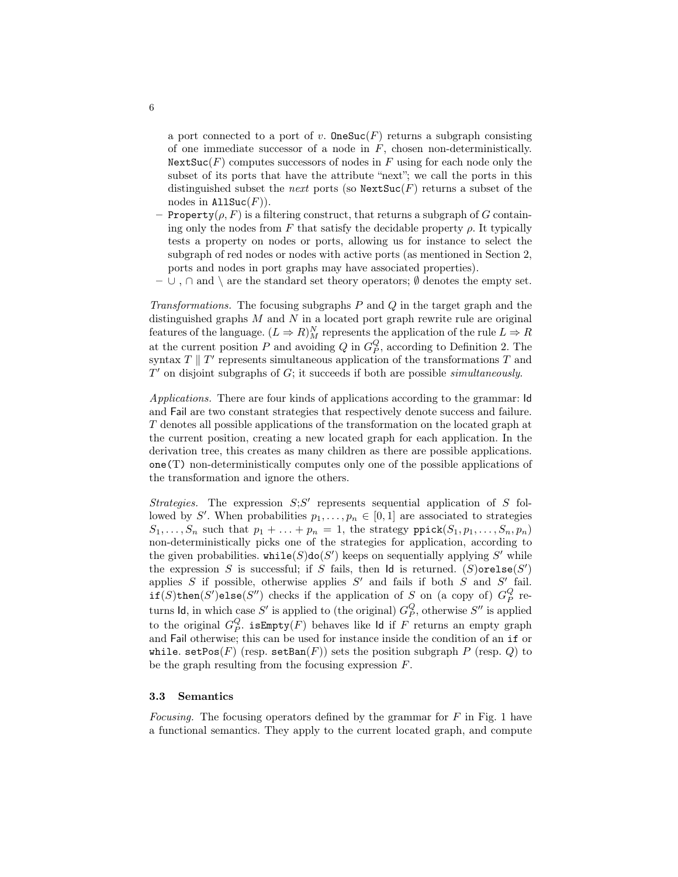a port connected to a port of v.  $OneSuc(F)$  returns a subgraph consisting of one immediate successor of a node in  $F$ , chosen non-deterministically.  $NextSuc(F)$  computes successors of nodes in F using for each node only the subset of its ports that have the attribute "next"; we call the ports in this distinguished subset the *next* ports (so  $NextSuc(F)$  returns a subset of the nodes in  $\texttt{AllSuc}(F)$ ).

- $-$  Property( $\rho$ , F) is a filtering construct, that returns a subgraph of G containing only the nodes from F that satisfy the decidable property  $\rho$ . It typically tests a property on nodes or ports, allowing us for instance to select the subgraph of red nodes or nodes with active ports (as mentioned in Section 2, ports and nodes in port graphs may have associated properties).
- ∪ , ∩ and \ are the standard set theory operators; ∅ denotes the empty set.

Transformations. The focusing subgraphs  $P$  and  $Q$  in the target graph and the distinguished graphs  $M$  and  $N$  in a located port graph rewrite rule are original features of the language.  $(L \Rightarrow R)_{M}^{N}$  represents the application of the rule  $L \Rightarrow R$ at the current position  $P$  and avoiding  $Q$  in  $G_P^Q$ , according to Definition 2. The syntax  $T \parallel T'$  represents simultaneous application of the transformations  $T$  and  $T'$  on disjoint subgraphs of  $G$ ; it succeeds if both are possible *simultaneously*.

Applications. There are four kinds of applications according to the grammar: Id and Fail are two constant strategies that respectively denote success and failure. T denotes all possible applications of the transformation on the located graph at the current position, creating a new located graph for each application. In the derivation tree, this creates as many children as there are possible applications. one(T) non-deterministically computes only one of the possible applications of the transformation and ignore the others.

Strategies. The expression  $S; S'$  represents sequential application of S followed by S'. When probabilities  $p_1, \ldots, p_n \in [0,1]$  are associated to strategies  $S_1, \ldots, S_n$  such that  $p_1 + \ldots + p_n = 1$ , the strategy  $\text{ppick}(S_1, p_1, \ldots, S_n, p_n)$ non-deterministically picks one of the strategies for application, according to the given probabilities. while  $(S)$ do $(S')$  keeps on sequentially applying  $S'$  while the expression S is successful; if S fails, then  $\mathsf{Id}$  is returned. (S)orelse(S') applies  $S$  if possible, otherwise applies  $S'$  and fails if both  $S$  and  $S'$  fail.  $if(S) then (S') else (S'') checks if the application of S on (a copy of)  $G_P^Q$  re$ turns  $\mathsf{Id}$ , in which case S' is applied to (the original)  $G_P^Q$ , otherwise S'' is applied to the original  $G_P^Q$ . is Empty $(F)$  behaves like Id if F returns an empty graph and Fail otherwise; this can be used for instance inside the condition of an if or while. setPos(F) (resp. setBan(F)) sets the position subgraph P (resp. Q) to be the graph resulting from the focusing expression F.

#### 3.3 Semantics

Focusing. The focusing operators defined by the grammar for  $F$  in Fig. 1 have a functional semantics. They apply to the current located graph, and compute

6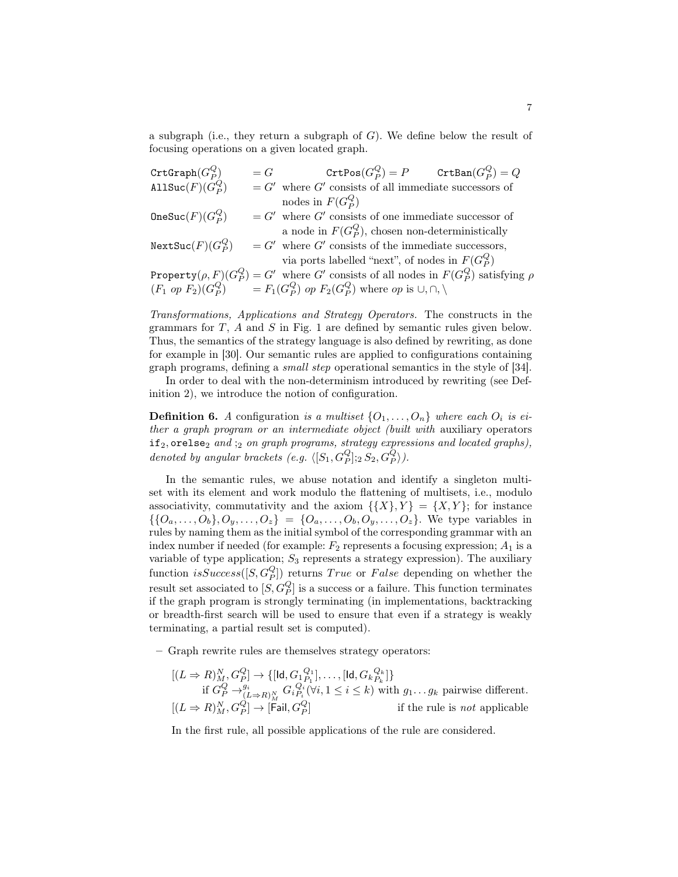a subgraph (i.e., they return a subgraph of  $G$ ). We define below the result of focusing operations on a given located graph.

 $\texttt{CrtGraph}(G_P^Q) \qquad \quad = G \qquad \qquad \texttt{CrtPos}(G_P^Q) = P \qquad \texttt{CrtBan}(G_P^Q) = Q$ AllSuc $(F)(G_P^Q)$  = G' where G' consists of all immediate successors of nodes in  $F(G_P^Q)$ **OneSuc** $(F)(G_P^Q)$  = G' where G' consists of one immediate successor of a node in  $F(G_P^Q)$ , chosen non-deterministically NextSuc $(F)(G_P^Q)$  = G' where G' consists of the immediate successors, via ports labelled "next", of nodes in  $F(G_P^Q)$ Property( $\rho$ ,  $F(x)$ ) = G' where G' consists of all nodes in  $F(G_P^Q)$  satisfying  $\rho$  $(F_1 \text{ op } F_2)(G_P^Q)$  =  $F_1(G_P^Q)$  op  $F_2(G_P^Q)$  where op is  $\cup, \cap, \setminus$ 

Transformations, Applications and Strategy Operators. The constructs in the grammars for  $T$ ,  $A$  and  $S$  in Fig. 1 are defined by semantic rules given below. Thus, the semantics of the strategy language is also defined by rewriting, as done for example in [30]. Our semantic rules are applied to configurations containing graph programs, defining a small step operational semantics in the style of [34].

In order to deal with the non-determinism introduced by rewriting (see Definition 2), we introduce the notion of configuration.

**Definition 6.** A configuration is a multiset  $\{O_1, \ldots, O_n\}$  where each  $O_i$  is either a graph program or an intermediate object (built with auxiliary operators  $if_2, orelse_2$  and  $i_2$  on graph programs, strategy expressions and located graphs), denoted by angular brackets (e.g.  $\langle [S_1, G_P^Q]$ ;  $S_2, G_P^Q \rangle$ ).

In the semantic rules, we abuse notation and identify a singleton multiset with its element and work modulo the flattening of multisets, i.e., modulo associativity, commutativity and the axiom  $\{\{X\}, Y\} = \{X, Y\}$ ; for instance  $\{ \{O_a, \ldots, O_b\}, O_y, \ldots, O_z \} = \{O_a, \ldots, O_b, O_y, \ldots, O_z\}.$  We type variables in rules by naming them as the initial symbol of the corresponding grammar with an index number if needed (for example:  $F_2$  represents a focusing expression;  $A_1$  is a variable of type application;  $S_3$  represents a strategy expression). The auxiliary function  $isSuccess([S, G<sub>P</sub><sup>Q</sup>])$  returns *True* or *False* depending on whether the result set associated to  $[S, G_P^Q]$  is a success or a failure. This function terminates if the graph program is strongly terminating (in implementations, backtracking or breadth-first search will be used to ensure that even if a strategy is weakly terminating, a partial result set is computed).

– Graph rewrite rules are themselves strategy operators:

$$
[(L \Rightarrow R)^N_M, G_P^Q] \rightarrow \{[\text{Id}, G_1^{Q_1}], \dots, [\text{Id}, G_k^{Q_k}]\}
$$
  
if  $G_P^Q \rightarrow_{(L \Rightarrow R)^N_M}^g G_i^{Q_i} (\forall i, 1 \le i \le k)$  with  $g_1 \dots g_k$  pairwise different.  

$$
[(L \Rightarrow R)^N_M, G_P^Q] \rightarrow [\text{Fail}, G_P^Q] \qquad \text{if the rule is not applicable}
$$

In the first rule, all possible applications of the rule are considered.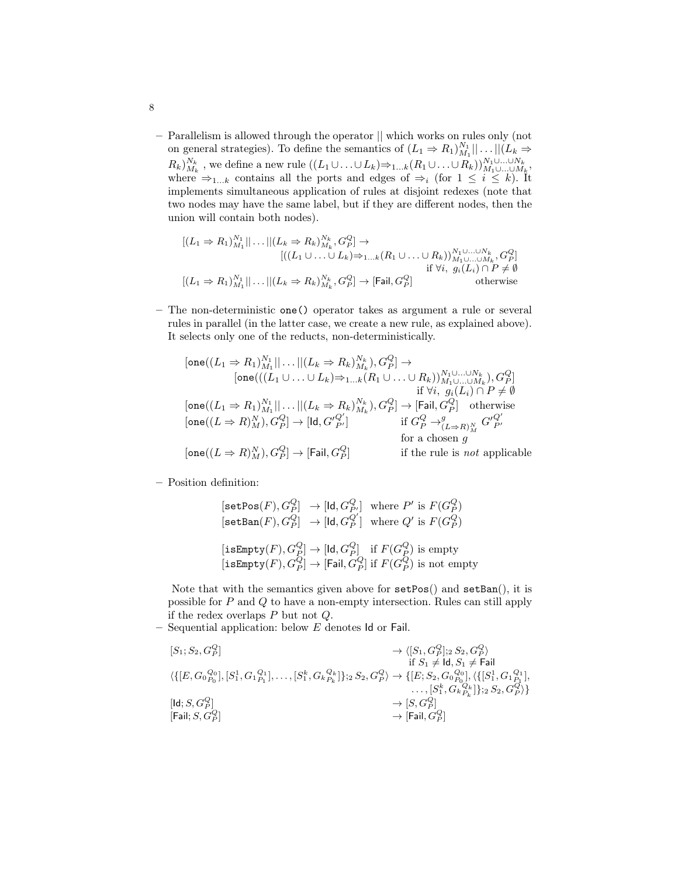– Parallelism is allowed through the operator || which works on rules only (not on general strategies). To define the semantics of  $(L_1 \Rightarrow R_1)_{M_1}^{N_1} \parallel \ldots \parallel (L_k \Rightarrow$  $(R_k)_{M_k}^{N_k}$ , we define a new rule  $((L_1 \cup \ldots \cup L_k) \Rightarrow_{1...k} (R_1 \cup \ldots \cup R_k))_{M_1 \cup \ldots \cup M_k}^{N_1 \cup \ldots \cup N_k}$ where  $\Rightarrow$ <sub>1...k</sub> contains all the ports and edges of  $\Rightarrow$ <sub>i</sub> (for  $1 \leq i \leq k$ ). It implements simultaneous application of rules at disjoint redexes (note that two nodes may have the same label, but if they are different nodes, then the union will contain both nodes).

$$
[(L_1 \Rightarrow R_1)_{M_1}^{N_1} || \dots || (L_k \Rightarrow R_k)_{M_k}^{N_k}, G_P^Q] \rightarrow
$$
  
\n
$$
[(L_1 \cup \ldots \cup L_k) \Rightarrow_{1 \ldots k} (R_1 \cup \ldots \cup R_k))_{M_1 \cup \ldots \cup M_k}^{N_1 \cup \ldots \cup N_k}, G_P^Q]
$$
  
\nif  $\forall i, g_i(L_i) \cap P \neq \emptyset$   
\nif  $\forall i, g_i(L_i) \cap P \neq \emptyset$   
\notherwise

– The non-deterministic one() operator takes as argument a rule or several rules in parallel (in the latter case, we create a new rule, as explained above). It selects only one of the reducts, non-deterministically.

$$
\begin{aligned} &[\text{one}((L_1\Rightarrow R_1)^{N_1}_{M_1}||\dots||(L_k\Rightarrow R_k)^{N_k}_{M_k}),G_P^Q] \rightarrow \\ &[\text{one}(((L_1\cup\ldots\cup L_k)\Rightarrow_{1\ldots k}(R_1\cup\ldots\cup R_k))^{N_1\cup\ldots\cup N_k}_{M_1\cup\ldots\cup M_k}),G_P^Q] \\ &\qquad\qquad\qquad \text{if }\forall i,\ g_i(L_i)\cap P\neq\emptyset\\ &[\text{one}((L_1\Rightarrow R_1)^{N_1}_{M_1}||\ldots||(L_k\Rightarrow R_k)^{N_k}_{M_k}),G_P^Q] \rightarrow [\text{fail},G_P^Q] \quad\qquad \text{otherwise}\\ &[\text{one}((L\Rightarrow R)^N_{M}),G_P^Q] \rightarrow [\text{Id},G'^{Q'}_{P'}] \quad\qquad \text{if }G_P^Q \rightarrow^g_{(L\Rightarrow R)^N_{M}}G'^{Q'}_{P'}\\ &\qquad\qquad \text{for a chosen }g\\ &[\text{one}((L\Rightarrow R)^N_{M}),G_P^Q] \rightarrow [\text{fail},G_P^Q] \quad\qquad \text{if the rule is not applicable} \end{aligned}
$$

– Position definition:

$$
[\texttt{setPos}(F), G_P^Q] \rightarrow [\textsf{Id}, G_{P'}^Q] \text{ where } P' \text{ is } F(G_P^Q)
$$
  
\n
$$
[\texttt{setBan}(F), G_P^Q] \rightarrow [\textsf{Id}, G_P^Q'] \text{ where } Q' \text{ is } F(G_P^Q)
$$
  
\n
$$
[\texttt{isEmpty}(F), G_P^Q] \rightarrow [\textsf{Id}, G_P^Q] \text{ if } F(G_P^Q) \text{ is empty}
$$
  
\n
$$
[\texttt{isEmpty}(F), G_P^Q] \rightarrow [\textsf{fail}, G_P^Q] \text{ if } F(G_P^Q) \text{ is not empty}
$$

Note that with the semantics given above for setPos() and setBan(), it is possible for P and Q to have a non-empty intersection. Rules can still apply if the redex overlaps  ${\cal P}$  but not  ${\cal Q}.$ 

 $-$  Sequential application: below  $E$  denotes  $Id$  or Fail.

$$
\begin{aligned}[t] [S_1; S_2, G_P^Q] &\to \langle [S_1, G_P^Q];_2 \, S_2, G_P^Q \rangle \\ &\qquad \quad \text{if } S_1 \neq \text{Id}, S_1 \neq \text{fail} \\ &\langle \{[E, G_0_{P_0}^{Q_0}], [S_1^1, G_1_{P_1}^{Q_1}], \dots, [S_1^k, G_k_{P_k}^{Q_k}]\};_2 \, S_2, G_P^Q \rangle \to \{[E; S_2, G_0_{P_0}^{Q_0}], \langle \{[S_1^1, G_1_{P_1}^{Q_1}], \dots, [S_1^k, G_k_{P_k}^{Q_k}]\};_2 \, S_2, G_P^Q \rangle\} \\ &\qquad \quad \text{[Id;} S, G_P^Q] &\qquad \quad \text{[Tail;} S, G_P^Q] &\qquad \quad \text{[Tail;} S, G_P^Q] &\qquad \quad \text{[Tail;} G_P^Q] \\ \end{aligned}
$$

8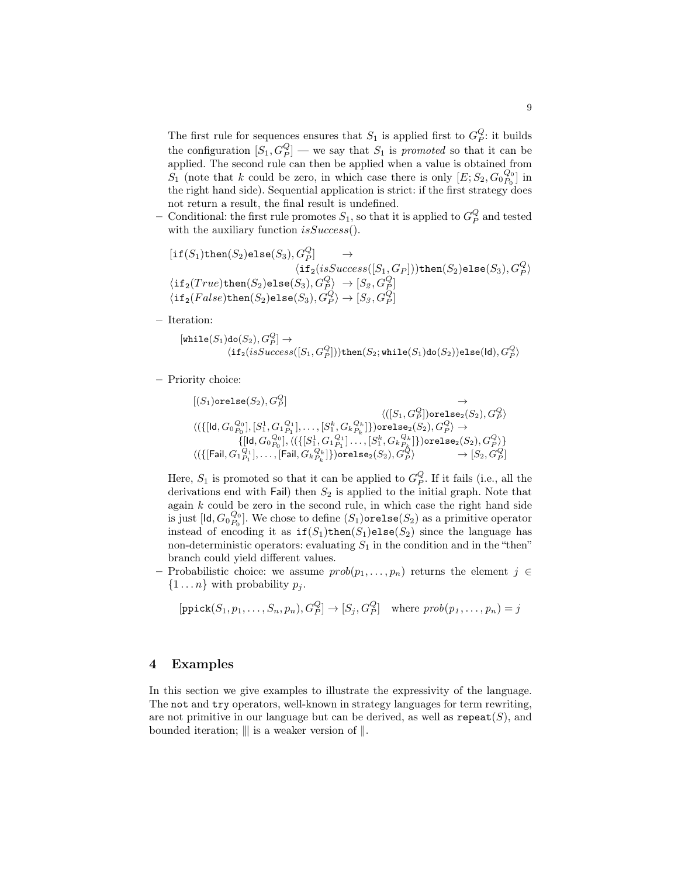The first rule for sequences ensures that  $S_1$  is applied first to  $G_P^Q$ : it builds the configuration  $[S_1, G_P^Q]$  — we say that  $S_1$  is promoted so that it can be applied. The second rule can then be applied when a value is obtained from  $S_1$  (note that k could be zero, in which case there is only  $[E; S_2, G_0_{P_0}^{Q_0}]$  in the right hand side). Sequential application is strict: if the first strategy does not return a result, the final result is undefined.

- Conditional: the first rule promotes  $S_1$ , so that it is applied to  $G_P^Q$  and tested with the auxiliary function  $isSuccess()$ .

 $[\mathtt{if}(S_1)\mathtt{then}(S_2)\mathtt{else}(S_3),G_P^Q]\longrightarrow$  $\langle \texttt{if}_2(isSuccess([S_1,G_P]))\texttt{then}(S_2)\texttt{else}(S_3), G^Q_P \rangle$  $\langle \texttt{if}_\texttt{2}(\textit{True})\texttt{then}(S_\texttt{2})\texttt{else}(S_\texttt{3}), G_{P_\texttt{2}}^Q\rangle \ \rightarrow [S_\texttt{2}, G_{P_\texttt{2}}^Q]$  $\langle \texttt{if}_\texttt{2}(\mathit{False}) \texttt{then}(S_\texttt{2}) \texttt{else}(S_\texttt{3}), G^{Q}_P \rangle \rightarrow [S_\texttt{3}, G^{Q}_P]$ 

– Iteration:

$$
\begin{array}{l}[\mathtt{while}(S_1)\mathtt{do}(S_2),G_P^Q] \rightarrow \\ \mathtt{\langle if_2(isSuccess([S_1,G_P^Q]) ) \mathtt{then}(S_2;\mathtt{while}(S_1)\mathtt{do}(S_2)) \mathtt{else}(\mathsf{Id}),G_P^Q \rangle} \end{array}
$$

– Priority choice:

$$
\begin{aligned} & [(S_1) \texttt{orelse}(S_2), G_P^Q] & \rightarrow \\ & \langle ([S_1, G_P^Q]) \texttt{orelse}_2(S_2), G_P^Q \rangle \\ & \langle ([\{ \texttt{Id}, G_0^{Q_0} ] , [S_1^1, G_1^{Q_1} ], \dots, [S_k^k, G_k^{Q_k} ] \} ) \texttt{orelse}_2(S_2), G_P^Q \rangle \rightarrow \\ & \{ [\texttt{Id}, G_0^{Q_0} _{P_0} ], \langle (\{ [S_1^1, G_1^{Q_1} ] \dots, [S_k^k, G_k^{Q_k} ] \} ) \texttt{orelse}_2(S_2), G_P^Q \rangle \} \\ & \langle ( \{ [\mathsf{fail}, G_1^{Q_1} ] , \dots, [\mathsf{fail}, G_k^{Q_k} ] \} ) \texttt{orelse}_2(S_2), G_P^Q \rangle & \rightarrow [S_2, G_P^Q] \end{aligned}
$$

Here,  $S_1$  is promoted so that it can be applied to  $G_P^Q$ . If it fails (i.e., all the derivations end with Fail) then  $S_2$  is applied to the initial graph. Note that again  $k$  could be zero in the second rule, in which case the right hand side is just  $[\mathsf{Id}, G_0_{P_0}^{Q_0}].$  We chose to define  $(S_1)$ orelse $(S_2)$  as a primitive operator instead of encoding it as  $if(S_1)then(S_1)else(S_2)$  since the language has non-deterministic operators: evaluating  $S_1$  in the condition and in the "then" branch could yield different values.

Probabilistic choice: we assume  $prob(p_1, \ldots, p_n)$  returns the element  $j \in$  $\{1 \dots n\}$  with probability  $p_j$ .

$$
[\text{ppick}(S_1, p_1, \dots, S_n, p_n), G_P^Q] \to [S_j, G_P^Q] \text{ where } prob(p_1, \dots, p_n) = j
$$

### 4 Examples

In this section we give examples to illustrate the expressivity of the language. The not and try operators, well-known in strategy languages for term rewriting, are not primitive in our language but can be derived, as well as  $\mathsf{repeat}(S)$ , and bounded iteration;  $\parallel \parallel$  is a weaker version of  $\parallel$ .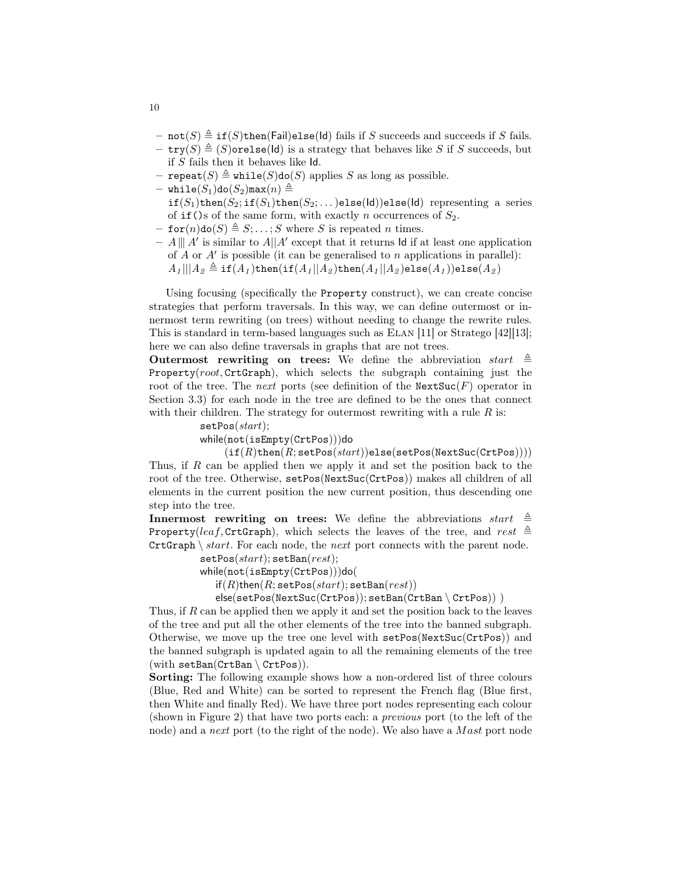- $-$  not(S)  $\triangleq$  if(S)then(Fail)else(Id) fails if S succeeds and succeeds if S fails.
- $-$  try(S)  $\triangleq$  (S)orelse(Id) is a strategy that behaves like S if S succeeds, but if S fails then it behaves like Id.
- repeat(S)  $\triangleq$  while(S)do(S) applies S as long as possible.
- $-$  while $(S_1)$ do $(S_2)$ max $(n) \triangleq$  $if(S_1) then (S_2; if(S_1) then (S_2; \dots) else (Id)) else (Id) representing a series$ of if()s of the same form, with exactly n occurrences of  $S_2$ .
- $-$  for $(n)$ do $(S) \triangleq S; \ldots; S$  where S is repeated n times.
- $A \parallel A'$  is similar to  $A \parallel A'$  except that it returns Id if at least one application of  $A$  or  $A'$  is possible (it can be generalised to  $n$  applications in parallel):  $A_1 |||A_2 \triangleq \text{if}(A_1) \text{then}(\text{if}(A_1 || A_2) \text{then}(A_1 || A_2) \text{else}(A_1)) \text{else}(A_2)$

Using focusing (specifically the Property construct), we can create concise strategies that perform traversals. In this way, we can define outermost or innermost term rewriting (on trees) without needing to change the rewrite rules. This is standard in term-based languages such as Elan [11] or Stratego [42][13]; here we can also define traversals in graphs that are not trees.

Outermost rewriting on trees: We define the abbreviation start  $\triangleq$ Property( $root$ , CrtGraph), which selects the subgraph containing just the root of the tree. The next ports (see definition of the  $\text{NextSuc}(F)$  operator in Section 3.3) for each node in the tree are defined to be the ones that connect with their children. The strategy for outermost rewriting with a rule  $R$  is:

 $setPos(start);$ 

while(not(isEmpty(CrtPos)))do

 $(i\texttt{f}(R)\texttt{then}(R;\texttt{setPos}(\textit{start}))$ else(setPos(NextSuc(CrtPos)))) Thus, if R can be applied then we apply it and set the position back to the root of the tree. Otherwise, setPos(NextSuc(CrtPos)) makes all children of all elements in the current position the new current position, thus descending one step into the tree.

**Innermost rewriting on trees:** We define the abbreviations start  $\triangleq$ Property(leaf, CrtGraph), which selects the leaves of the tree, and rest  $\triangleq$  $CrtGraph \ *start*. For each node, the next port connects with the parent node.$ 

 $setPos(start); setBan(rest);$ 

while(not(isEmpty(CrtPos)))do(

 $if(R)$ then $(R; setPos(start); setBan(rest))$ 

else(setPos(NextSuc(CrtPos)); setBan(CrtBan \ CrtPos)) )

Thus, if R can be applied then we apply it and set the position back to the leaves of the tree and put all the other elements of the tree into the banned subgraph. Otherwise, we move up the tree one level with setPos(NextSuc(CrtPos)) and the banned subgraph is updated again to all the remaining elements of the tree (with setBan(CrtBan \ CrtPos)).

Sorting: The following example shows how a non-ordered list of three colours (Blue, Red and White) can be sorted to represent the French flag (Blue first, then White and finally Red). We have three port nodes representing each colour (shown in Figure 2) that have two ports each: a previous port (to the left of the node) and a next port (to the right of the node). We also have a  $Mast$  port node

10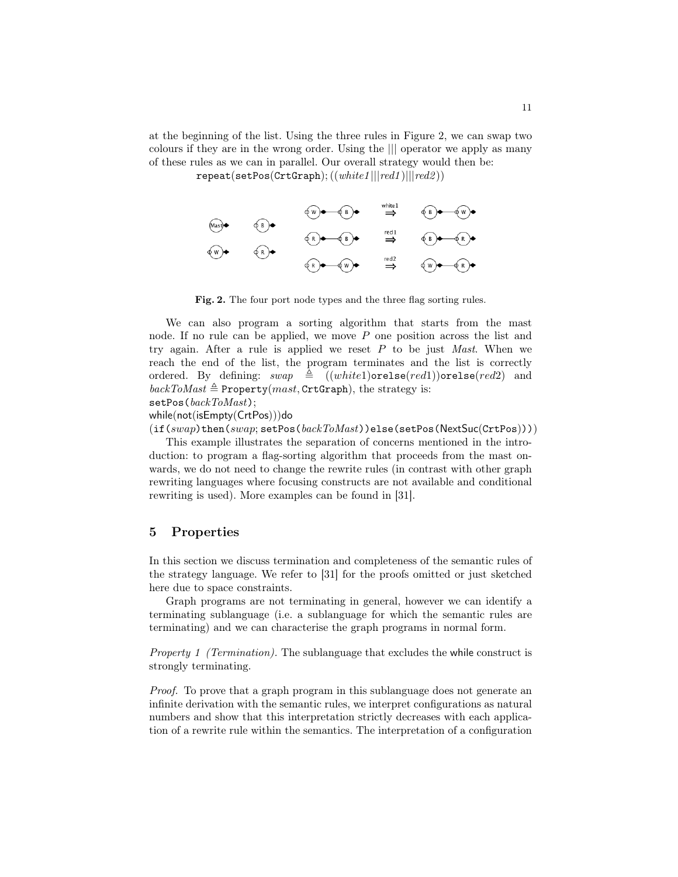at the beginning of the list. Using the three rules in Figure 2, we can swap two colours if they are in the wrong order. Using the ||| operator we apply as many of these rules as we can in parallel. Our overall strategy would then be:

 $\mathtt{repeat}(\mathtt{setPos}(\mathtt{CrtGraph});((white1|||red1)|||red2))$ 

| \n $W$ as $g$ as a function of the function $g$ and $g$ are the function of the function $g$ and $g$ are the function of the function $g$ and $g$ are the function of the function $g$ and $g$ are the function of the function $g$ and $g$ are the function of the function $g$ and $g$ are the function of the function $g$ and $g$ are the function of the function $g$ and $g$ are the function of the function $g$ and $g$ are the function of the function $g$ and $g$ are the function of the function $g$ and $g$ are the function of the function $g$ and $g$ are the function of the function $g$ and $g$ are the function of the function $g$ and $g$ are the function of the function $g$ and $g$ are the function of the function $g$ and $g$ are the function of the function $g$ and $g$ are the function of the function $g$ and $g$ are the function of the function $g$ and $g$ are the function of the function $g$ and $g$ are the function of the function $g$ and $g$ are the function of the function $g$ and $g$ are the function of the function $g$ and $g$ are the function of the function $g$ and $g$ are the function of the function $g$ and $g$ are the function of the function $g$ and $g$ are the function of the function $g$ and $g$ are the function of the function $g$ and $g$ are the function of the function $g$ and $g$ are the function of the function $g$ and $g$ are the function of the function $g$ and $g$ are the function of the function $g$ and $g$ are the function of the function $g$ and $g$ are the function of the function $g$ and $g$ are the function of the function $g$ and $g$ are the function |
|--------------------------------------------------------------------------------------------------------------------------------------------------------------------------------------------------------------------------------------------------------------------------------------------------------------------------------------------------------------------------------------------------------------------------------------------------------------------------------------------------------------------------------------------------------------------------------------------------------------------------------------------------------------------------------------------------------------------------------------------------------------------------------------------------------------------------------------------------------------------------------------------------------------------------------------------------------------------------------------------------------------------------------------------------------------------------------------------------------------------------------------------------------------------------------------------------------------------------------------------------------------------------------------------------------------------------------------------------------------------------------------------------------------------------------------------------------------------------------------------------------------------------------------------------------------------------------------------------------------------------------------------------------------------|
|--------------------------------------------------------------------------------------------------------------------------------------------------------------------------------------------------------------------------------------------------------------------------------------------------------------------------------------------------------------------------------------------------------------------------------------------------------------------------------------------------------------------------------------------------------------------------------------------------------------------------------------------------------------------------------------------------------------------------------------------------------------------------------------------------------------------------------------------------------------------------------------------------------------------------------------------------------------------------------------------------------------------------------------------------------------------------------------------------------------------------------------------------------------------------------------------------------------------------------------------------------------------------------------------------------------------------------------------------------------------------------------------------------------------------------------------------------------------------------------------------------------------------------------------------------------------------------------------------------------------------------------------------------------------|

Fig. 2. The four port node types and the three flag sorting rules.

We can also program a sorting algorithm that starts from the mast node. If no rule can be applied, we move P one position across the list and try again. After a rule is applied we reset  $P$  to be just Mast. When we reach the end of the list, the program terminates and the list is correctly ordered. By defining:  $swap \triangleq ((white1) \text{orelse}(red1)) \text{orelse}(red2)$  and  $backToMost \triangle$  Property(*mast*, CrtGraph), the strategy is: setPos(backToMast);

while(not(isEmpty(CrtPos)))do

 $(if(swap)$ then $(swap)$ ; setPos $(backToMask)$ )else(setPos(NextSuc(CrtPos))))

This example illustrates the separation of concerns mentioned in the introduction: to program a flag-sorting algorithm that proceeds from the mast onwards, we do not need to change the rewrite rules (in contrast with other graph rewriting languages where focusing constructs are not available and conditional rewriting is used). More examples can be found in [31].

### 5 Properties

In this section we discuss termination and completeness of the semantic rules of the strategy language. We refer to [31] for the proofs omitted or just sketched here due to space constraints.

Graph programs are not terminating in general, however we can identify a terminating sublanguage (i.e. a sublanguage for which the semantic rules are terminating) and we can characterise the graph programs in normal form.

Property 1 (Termination). The sublanguage that excludes the while construct is strongly terminating.

Proof. To prove that a graph program in this sublanguage does not generate an infinite derivation with the semantic rules, we interpret configurations as natural numbers and show that this interpretation strictly decreases with each application of a rewrite rule within the semantics. The interpretation of a configuration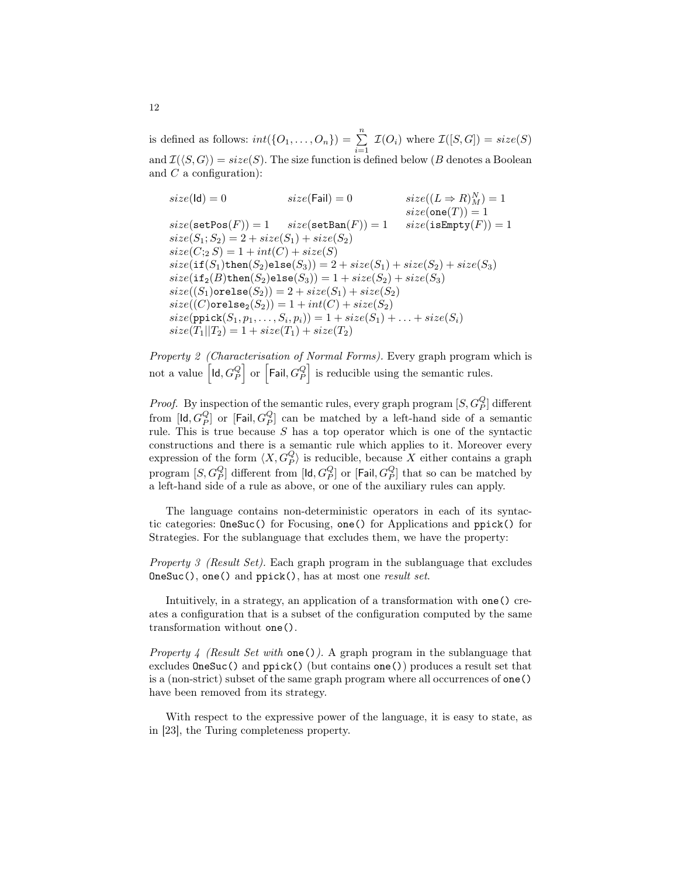is defined as follows:  $int(\{O_1, \ldots, O_n\}) = \sum_{i=1}^n \mathcal{I}(O_i)$  where  $\mathcal{I}([S, G]) = size(S)$ 

and  $\mathcal{I}(\langle S, G \rangle) = size(S)$ . The size function is defined below (B denotes a Boolean and  $C$  a configuration):

$$
\begin{array}{ll} size(\mathsf{Id}) = 0 & size(\mathsf{fail}) = 0 & size((L \Rightarrow R)^N_M) = 1 \\ size(\mathsf{setPos}(F)) = 1 & size(\mathsf{setBan}(F)) = 1 & size(\mathsf{inEmpty}(F)) = 1 \\ size(S_1; S_2) = 2 + size(S_1) + size(S_2) \\ size(C;_2S) = 1 + int(C) + size(S) \\ size(\mathsf{if}(S_1)\mathsf{then}(S_2)\mathsf{else}(S_3)) = 2 + size(S_1) + size(S_2) + size(S_3) \\ size(\mathsf{if}(S_1)\mathsf{then}(S_2)\mathsf{else}(S_3)) = 1 + size(S_2) + size(S_3) \\ size((S_1)\mathsf{orelse}(S_2)) = 2 + size(S_1) + size(S_2) \\ size((C)\mathsf{orelse}_2(S_2)) = 1 + int(C) + size(S_2) \\ size(\mathsf{ppick}(S_1, p_1, \ldots, S_i, p_i)) = 1 + size(S_1) + \ldots + size(S_i) \\ size(T_1||T_2) = 1 + size(T_1) + size(T_2) \end{array}
$$

Property 2 (Characterisation of Normal Forms). Every graph program which is not a value  $\left[\mathsf{Id}, G_P^Q\right]$  or  $\left[\mathsf{Fail}, G_P^Q\right]$  is reducible using the semantic rules.

*Proof.* By inspection of the semantic rules, every graph program  $[S, G_P^Q]$  different from  $[\mathsf{Id}, G_P^Q]$  or  $[\mathsf{Fail}, G_P^Q]$  can be matched by a left-hand side of a semantic rule. This is true because  $S$  has a top operator which is one of the syntactic constructions and there is a semantic rule which applies to it. Moreover every expression of the form  $\langle X, G_P^Q \rangle$  is reducible, because X either contains a graph program  $[S, G_P^Q]$  different from  $[\mathsf{Id}, G_P^Q]$  or  $[\mathsf{Fail}, G_P^Q]$  that so can be matched by a left-hand side of a rule as above, or one of the auxiliary rules can apply.

The language contains non-deterministic operators in each of its syntactic categories: OneSuc() for Focusing, one() for Applications and ppick() for Strategies. For the sublanguage that excludes them, we have the property:

Property 3 (Result Set). Each graph program in the sublanguage that excludes  $OneSuc()$ , one() and  $ppick()$ , has at most one *result set*.

Intuitively, in a strategy, an application of a transformation with one() creates a configuration that is a subset of the configuration computed by the same transformation without one().

*Property 4 (Result Set with* one()). A graph program in the sublanguage that excludes OneSuc() and ppick() (but contains one()) produces a result set that is a (non-strict) subset of the same graph program where all occurrences of one() have been removed from its strategy.

With respect to the expressive power of the language, it is easy to state, as in [23], the Turing completeness property.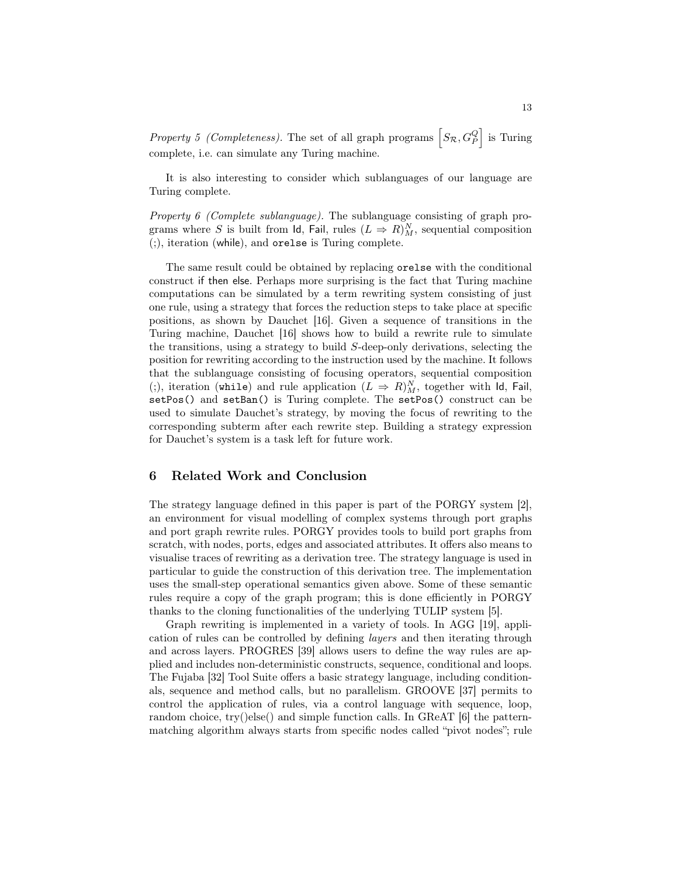Property 5 (Completeness). The set of all graph programs  $S_{\mathcal{R}}, G_P^Q$  is Turing complete, i.e. can simulate any Turing machine.

It is also interesting to consider which sublanguages of our language are Turing complete.

Property 6 (Complete sublanguage). The sublanguage consisting of graph programs where S is built from  $\mathsf{Id}$ , Fail, rules  $(L \Rightarrow R)^N_M$ , sequential composition (;), iteration (while), and orelse is Turing complete.

The same result could be obtained by replacing orelse with the conditional construct if then else. Perhaps more surprising is the fact that Turing machine computations can be simulated by a term rewriting system consisting of just one rule, using a strategy that forces the reduction steps to take place at specific positions, as shown by Dauchet [16]. Given a sequence of transitions in the Turing machine, Dauchet [16] shows how to build a rewrite rule to simulate the transitions, using a strategy to build S-deep-only derivations, selecting the position for rewriting according to the instruction used by the machine. It follows that the sublanguage consisting of focusing operators, sequential composition (;), iteration (while) and rule application  $(L \Rightarrow R)^N_M$ , together with Id, Fail, setPos() and setBan() is Turing complete. The setPos() construct can be used to simulate Dauchet's strategy, by moving the focus of rewriting to the corresponding subterm after each rewrite step. Building a strategy expression for Dauchet's system is a task left for future work.

### 6 Related Work and Conclusion

The strategy language defined in this paper is part of the PORGY system [2], an environment for visual modelling of complex systems through port graphs and port graph rewrite rules. PORGY provides tools to build port graphs from scratch, with nodes, ports, edges and associated attributes. It offers also means to visualise traces of rewriting as a derivation tree. The strategy language is used in particular to guide the construction of this derivation tree. The implementation uses the small-step operational semantics given above. Some of these semantic rules require a copy of the graph program; this is done efficiently in PORGY thanks to the cloning functionalities of the underlying TULIP system [5].

Graph rewriting is implemented in a variety of tools. In AGG [19], application of rules can be controlled by defining layers and then iterating through and across layers. PROGRES [39] allows users to define the way rules are applied and includes non-deterministic constructs, sequence, conditional and loops. The Fujaba [32] Tool Suite offers a basic strategy language, including conditionals, sequence and method calls, but no parallelism. GROOVE [37] permits to control the application of rules, via a control language with sequence, loop, random choice, try()else() and simple function calls. In GReAT [6] the patternmatching algorithm always starts from specific nodes called "pivot nodes"; rule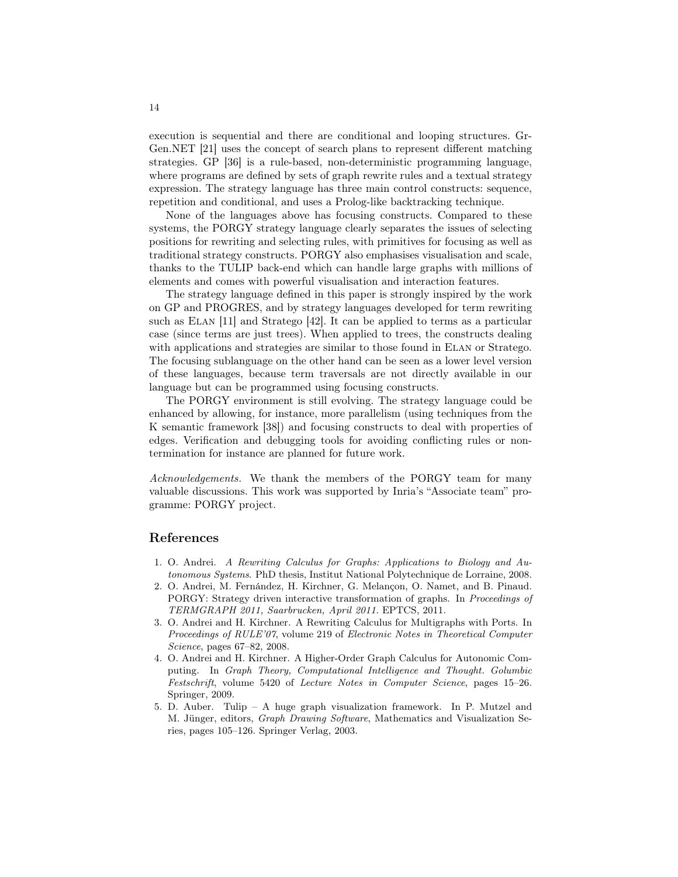execution is sequential and there are conditional and looping structures. Gr-Gen.NET [21] uses the concept of search plans to represent different matching strategies. GP [36] is a rule-based, non-deterministic programming language, where programs are defined by sets of graph rewrite rules and a textual strategy expression. The strategy language has three main control constructs: sequence, repetition and conditional, and uses a Prolog-like backtracking technique.

None of the languages above has focusing constructs. Compared to these systems, the PORGY strategy language clearly separates the issues of selecting positions for rewriting and selecting rules, with primitives for focusing as well as traditional strategy constructs. PORGY also emphasises visualisation and scale, thanks to the TULIP back-end which can handle large graphs with millions of elements and comes with powerful visualisation and interaction features.

The strategy language defined in this paper is strongly inspired by the work on GP and PROGRES, and by strategy languages developed for term rewriting such as Elan [11] and Stratego [42]. It can be applied to terms as a particular case (since terms are just trees). When applied to trees, the constructs dealing with applications and strategies are similar to those found in ELAN or Stratego. The focusing sublanguage on the other hand can be seen as a lower level version of these languages, because term traversals are not directly available in our language but can be programmed using focusing constructs.

The PORGY environment is still evolving. The strategy language could be enhanced by allowing, for instance, more parallelism (using techniques from the K semantic framework [38]) and focusing constructs to deal with properties of edges. Verification and debugging tools for avoiding conflicting rules or nontermination for instance are planned for future work.

Acknowledgements. We thank the members of the PORGY team for many valuable discussions. This work was supported by Inria's "Associate team" programme: PORGY project.

### References

- 1. O. Andrei. A Rewriting Calculus for Graphs: Applications to Biology and Autonomous Systems. PhD thesis, Institut National Polytechnique de Lorraine, 2008.
- 2. O. Andrei, M. Fernández, H. Kirchner, G. Melançon, O. Namet, and B. Pinaud. PORGY: Strategy driven interactive transformation of graphs. In Proceedings of TERMGRAPH 2011, Saarbrucken, April 2011. EPTCS, 2011.
- 3. O. Andrei and H. Kirchner. A Rewriting Calculus for Multigraphs with Ports. In Proceedings of RULE'07, volume 219 of Electronic Notes in Theoretical Computer Science, pages 67–82, 2008.
- 4. O. Andrei and H. Kirchner. A Higher-Order Graph Calculus for Autonomic Computing. In Graph Theory, Computational Intelligence and Thought. Golumbic Festschrift, volume 5420 of Lecture Notes in Computer Science, pages 15–26. Springer, 2009.
- 5. D. Auber. Tulip A huge graph visualization framework. In P. Mutzel and M. Jünger, editors, Graph Drawing Software, Mathematics and Visualization Series, pages 105–126. Springer Verlag, 2003.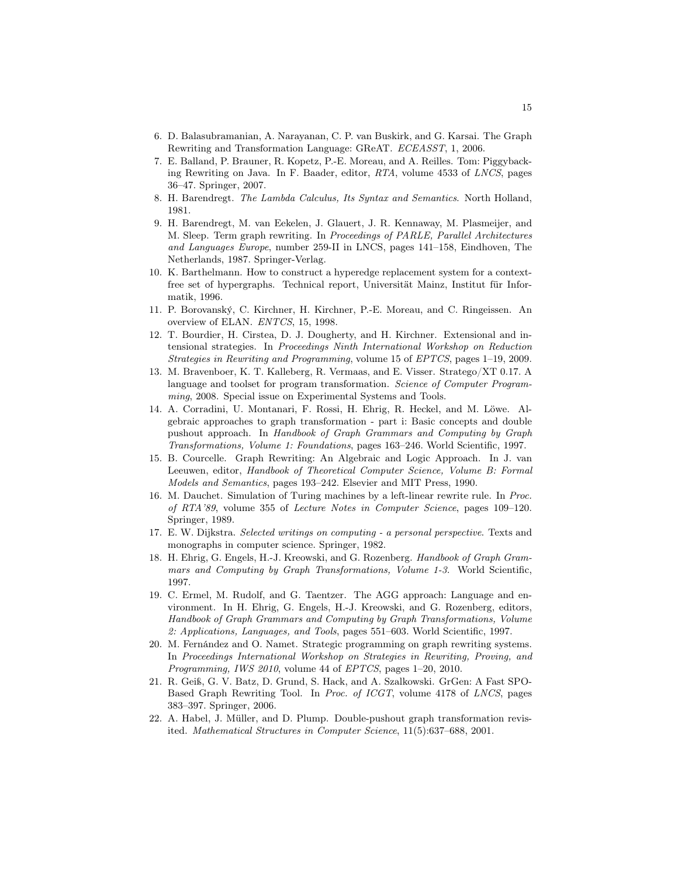- 6. D. Balasubramanian, A. Narayanan, C. P. van Buskirk, and G. Karsai. The Graph Rewriting and Transformation Language: GReAT. ECEASST, 1, 2006.
- 7. E. Balland, P. Brauner, R. Kopetz, P.-E. Moreau, and A. Reilles. Tom: Piggybacking Rewriting on Java. In F. Baader, editor, RTA, volume 4533 of LNCS, pages 36–47. Springer, 2007.
- 8. H. Barendregt. The Lambda Calculus, Its Syntax and Semantics. North Holland, 1981.
- 9. H. Barendregt, M. van Eekelen, J. Glauert, J. R. Kennaway, M. Plasmeijer, and M. Sleep. Term graph rewriting. In Proceedings of PARLE, Parallel Architectures and Languages Europe, number 259-II in LNCS, pages 141–158, Eindhoven, The Netherlands, 1987. Springer-Verlag.
- 10. K. Barthelmann. How to construct a hyperedge replacement system for a contextfree set of hypergraphs. Technical report, Universität Mainz, Institut für Informatik, 1996.
- 11. P. Borovanský, C. Kirchner, H. Kirchner, P.-E. Moreau, and C. Ringeissen. An overview of ELAN. ENTCS, 15, 1998.
- 12. T. Bourdier, H. Cirstea, D. J. Dougherty, and H. Kirchner. Extensional and intensional strategies. In Proceedings Ninth International Workshop on Reduction Strategies in Rewriting and Programming, volume 15 of EPTCS, pages 1–19, 2009.
- 13. M. Bravenboer, K. T. Kalleberg, R. Vermaas, and E. Visser. Stratego/XT 0.17. A language and toolset for program transformation. Science of Computer Programming, 2008. Special issue on Experimental Systems and Tools.
- 14. A. Corradini, U. Montanari, F. Rossi, H. Ehrig, R. Heckel, and M. Löwe. Algebraic approaches to graph transformation - part i: Basic concepts and double pushout approach. In Handbook of Graph Grammars and Computing by Graph Transformations, Volume 1: Foundations, pages 163–246. World Scientific, 1997.
- 15. B. Courcelle. Graph Rewriting: An Algebraic and Logic Approach. In J. van Leeuwen, editor, Handbook of Theoretical Computer Science, Volume B: Formal Models and Semantics, pages 193–242. Elsevier and MIT Press, 1990.
- 16. M. Dauchet. Simulation of Turing machines by a left-linear rewrite rule. In Proc. of RTA'89, volume 355 of Lecture Notes in Computer Science, pages 109–120. Springer, 1989.
- 17. E. W. Dijkstra. Selected writings on computing a personal perspective. Texts and monographs in computer science. Springer, 1982.
- 18. H. Ehrig, G. Engels, H.-J. Kreowski, and G. Rozenberg. Handbook of Graph Grammars and Computing by Graph Transformations, Volume 1-3. World Scientific, 1997.
- 19. C. Ermel, M. Rudolf, and G. Taentzer. The AGG approach: Language and environment. In H. Ehrig, G. Engels, H.-J. Kreowski, and G. Rozenberg, editors, Handbook of Graph Grammars and Computing by Graph Transformations, Volume 2: Applications, Languages, and Tools, pages 551–603. World Scientific, 1997.
- 20. M. Fernández and O. Namet. Strategic programming on graph rewriting systems. In Proceedings International Workshop on Strategies in Rewriting, Proving, and Programming, IWS 2010, volume 44 of EPTCS, pages 1–20, 2010.
- 21. R. Geiß, G. V. Batz, D. Grund, S. Hack, and A. Szalkowski. GrGen: A Fast SPO-Based Graph Rewriting Tool. In Proc. of ICGT, volume 4178 of LNCS, pages 383–397. Springer, 2006.
- 22. A. Habel, J. Müller, and D. Plump. Double-pushout graph transformation revisited. Mathematical Structures in Computer Science, 11(5):637–688, 2001.